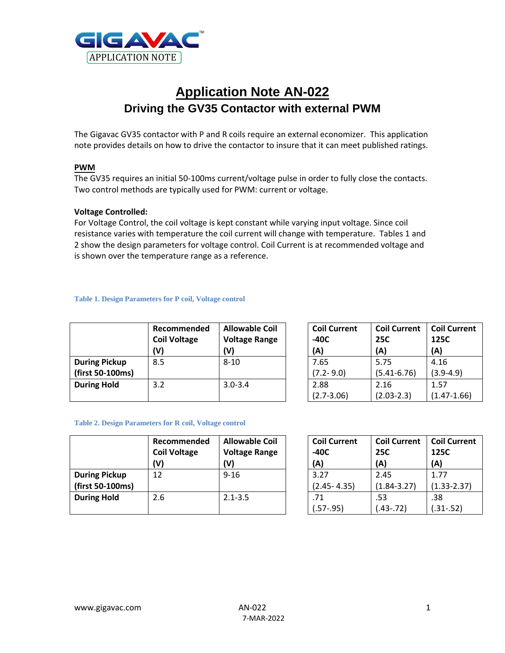

# **Application Note AN-022 Driving the GV35 Contactor with external PWM**

The Gigavac GV35 contactor with P and R coils require an external economizer. This application note provides details on how to drive the contactor to insure that it can meet published ratings.

# **PWM**

The GV35 requires an initial 50-100ms current/voltage pulse in order to fully close the contacts. Two control methods are typically used for PWM: current or voltage.

# **Voltage Controlled:**

For Voltage Control, the coil voltage is kept constant while varying input voltage. Since coil resistance varies with temperature the coil current will change with temperature. Tables 1 and 2 show the design parameters for voltage control. Coil Current is at recommended voltage and is shown over the temperature range as a reference.

#### **Table 1. Design Parameters for P coil, Voltage control**

|                      | Recommended<br><b>Coil Voltage</b><br>(V) | <b>Allowable Coil</b><br><b>Voltage Range</b><br>(V) | <b>Coil Current</b><br>-40C<br>(A) | <b>Coil Current</b><br><b>25C</b><br>(A) | <b>Coil Current</b><br>125C<br>(A) |
|----------------------|-------------------------------------------|------------------------------------------------------|------------------------------------|------------------------------------------|------------------------------------|
| <b>During Pickup</b> | 8.5                                       | $8 - 10$                                             | 7.65                               | 5.75                                     | 4.16                               |
| (first 50-100ms)     |                                           |                                                      | $(7.2 - 9.0)$                      | $(5.41 - 6.76)$                          | $(3.9-4.9)$                        |
| <b>During Hold</b>   | 3.2                                       | $3.0 - 3.4$                                          | 2.88                               | 2.16                                     | 1.57                               |
|                      |                                           |                                                      | $(2.7 - 3.06)$                     | $(2.03 - 2.3)$                           | $(1.47 - 1.66)$                    |

#### **Table 2. Design Parameters for R coil, Voltage control**

|                      | Recommended<br><b>Coil Voltage</b><br>(V) | <b>Allowable Coil</b><br><b>Voltage Range</b><br>(V) | Coil<br>$-40C$<br>(A) |
|----------------------|-------------------------------------------|------------------------------------------------------|-----------------------|
| <b>During Pickup</b> | 12                                        | $9 - 16$                                             | 3.27                  |
| (first 50-100ms)     |                                           |                                                      | 2.45                  |
| <b>During Hold</b>   | 2.6                                       | $2.1 - 3.5$                                          | .71                   |
|                      |                                           |                                                      | 57-                   |

| <b>Coil Current</b> | <b>Coil Current</b> | <b>Coil Current</b> |  |
|---------------------|---------------------|---------------------|--|
| -40C                | <b>25C</b>          | 125C                |  |
| (A)                 | (A)                 | (A)                 |  |
| 3.27                | 2.45                | 1.77                |  |
| $(2.45 - 4.35)$     | $(1.84 - 3.27)$     | $(1.33 - 2.37)$     |  |
| .71                 | .53                 | .38                 |  |
| $(.57-.95)$         | $(.43-.72)$         | $(.31-.52)$         |  |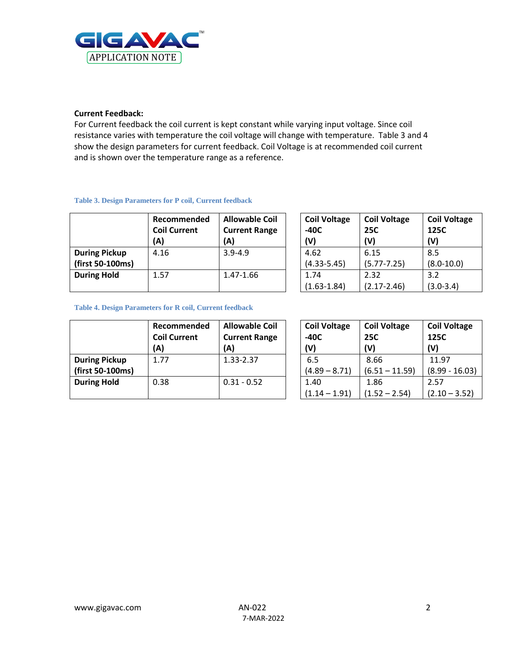

# **Current Feedback:**

For Current feedback the coil current is kept constant while varying input voltage. Since coil resistance varies with temperature the coil voltage will change with temperature. Table 3 and 4 show the design parameters for current feedback. Coil Voltage is at recommended coil current and is shown over the temperature range as a reference.

#### **Table 3. Design Parameters for P coil, Current feedback**

|                      | Recommended<br><b>Coil Current</b><br>(A) | <b>Allowable Coil</b><br><b>Current Range</b><br>(A) | <b>Coil Voltage</b><br>$-40C$<br>(V) | <b>Coil Voltage</b><br><b>25C</b><br>(V) | <b>Coil Voltage</b><br>125C<br>(V) |
|----------------------|-------------------------------------------|------------------------------------------------------|--------------------------------------|------------------------------------------|------------------------------------|
| <b>During Pickup</b> | 4.16                                      | $3.9 - 4.9$                                          | 4.62                                 | 6.15                                     | 8.5                                |
| (first 50-100ms)     |                                           |                                                      | $(4.33 - 5.45)$                      | $(5.77 - 7.25)$                          | $(8.0 - 10.0)$                     |
| <b>During Hold</b>   | 1.57                                      | 1.47-1.66                                            | 1.74                                 | 2.32                                     | 3.2                                |
|                      |                                           |                                                      | $(1.63 - 1.84)$                      | $(2.17 - 2.46)$                          | $(3.0 - 3.4)$                      |

#### **Table 4. Design Parameters for R coil, Current feedback**

|                      | Recommended<br><b>Coil Current</b><br>(A) | <b>Allowable Coil</b><br><b>Current Range</b><br>(A) | Coil<br>$-40C$<br>(V) |
|----------------------|-------------------------------------------|------------------------------------------------------|-----------------------|
| <b>During Pickup</b> | 1.77                                      | 1.33-2.37                                            | 6.5                   |
| (first 50-100ms)     |                                           |                                                      | (4.89)                |
| <b>During Hold</b>   | 0.38                                      | $0.31 - 0.52$                                        | 1.40                  |
|                      |                                           |                                                      | .14                   |

| <b>Coil Voltage</b> | <b>Coil Voltage</b> | <b>Coil Voltage</b> |  |
|---------------------|---------------------|---------------------|--|
| -40C                | <b>25C</b>          | 125C                |  |
| (V)                 | (V)                 | (V)                 |  |
| 6.5                 | 8.66                | 11.97               |  |
| $(4.89 - 8.71)$     | $(6.51 - 11.59)$    | $(8.99 - 16.03)$    |  |
| 1.40                | 1.86                | 2.57                |  |
| $(1.14 - 1.91)$     | $(1.52 - 2.54)$     | $(2.10 - 3.52)$     |  |